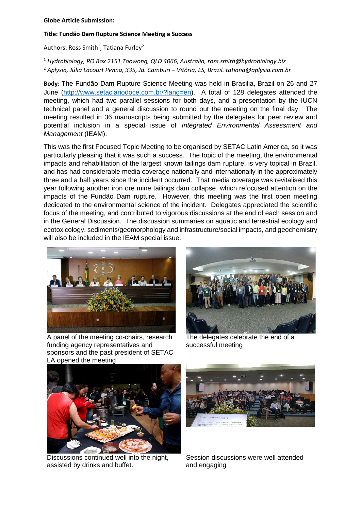## **Globe Article Submission:**

## **Title: Fundão Dam Rupture Science Meeting a Success**

Authors: Ross Smith<sup>1</sup>, Tatiana Furley<sup>2</sup>

<sup>1</sup> *Hydrobiology, PO Box 2151 Toowong, QLD 4066, Australia, ross.smith@hydrobiology.biz* <sup>2</sup> *Aplysia, Júlia Lacourt Penna, 335, Jd. Camburi – Vitória, ES, Brazil. tatiana@aplysia.com.br*

**Body:** The Fundão Dam Rupture Science Meeting was held in Brasilia, Brazil on 26 and 27 June [\(http://www.setaclariodoce.com.br/?lang=en\)](http://www.setaclariodoce.com.br/?lang=en). A total of 128 delegates attended the meeting, which had two parallel sessions for both days, and a presentation by the IUCN technical panel and a general discussion to round out the meeting on the final day. The meeting resulted in 36 manuscripts being submitted by the delegates for peer review and potential inclusion in a special issue of *Integrated Environmental Assessment and Management* (IEAM).

This was the first Focused Topic Meeting to be organised by SETAC Latin America, so it was particularly pleasing that it was such a success. The topic of the meeting, the environmental impacts and rehabilitation of the largest known tailings dam rupture, is very topical in Brazil, and has had considerable media coverage nationally and internationally in the approximately three and a half years since the incident occurred. That media coverage was revitalised this year following another iron ore mine tailings dam collapse, which refocused attention on the impacts of the Fundão Dam rupture. However, this meeting was the first open meeting dedicated to the environmental science of the incident. Delegates appreciated the scientific focus of the meeting, and contributed to vigorous discussions at the end of each session and in the General Discussion. The discussion summaries on aquatic and terrestrial ecology and ecotoxicology, sediments/geomorphology and infrastructure/social impacts, and geochemistry will also be included in the IEAM special issue.



A panel of the meeting co-chairs, research funding agency representatives and sponsors and the past president of SETAC LA opened the meeting



The delegates celebrate the end of a successful meeting



Discussions continued well into the night, assisted by drinks and buffet.



Session discussions were well attended and engaging